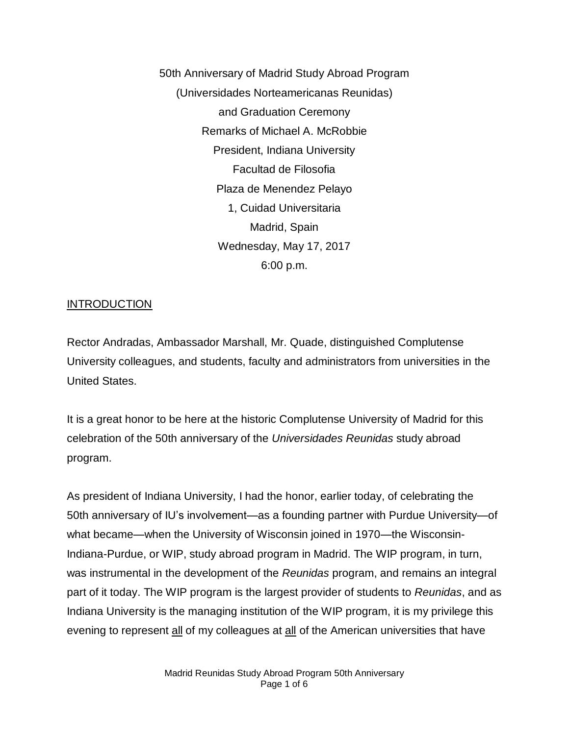50th Anniversary of Madrid Study Abroad Program (Universidades Norteamericanas Reunidas) and Graduation Ceremony Remarks of Michael A. McRobbie President, Indiana University Facultad de Filosofia Plaza de Menendez Pelayo 1, Cuidad Universitaria Madrid, Spain Wednesday, May 17, 2017 6:00 p.m.

#### INTRODUCTION

Rector Andradas, Ambassador Marshall, Mr. Quade, distinguished Complutense University colleagues, and students, faculty and administrators from universities in the United States.

It is a great honor to be here at the historic Complutense University of Madrid for this celebration of the 50th anniversary of the *Universidades Reunidas* study abroad program.

As president of Indiana University, I had the honor, earlier today, of celebrating the 50th anniversary of IU's involvement—as a founding partner with Purdue University—of what became—when the University of Wisconsin joined in 1970—the Wisconsin-Indiana-Purdue, or WIP, study abroad program in Madrid. The WIP program, in turn, was instrumental in the development of the *Reunidas* program, and remains an integral part of it today. The WIP program is the largest provider of students to *Reunidas*, and as Indiana University is the managing institution of the WIP program, it is my privilege this evening to represent all of my colleagues at all of the American universities that have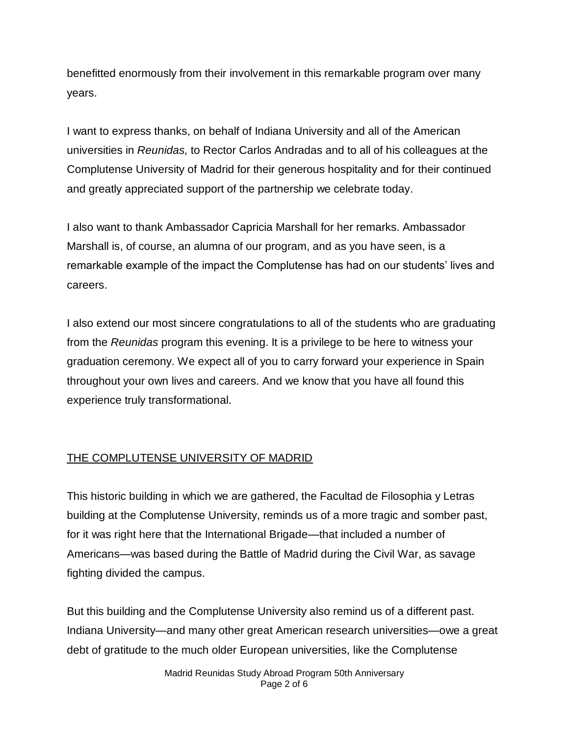benefitted enormously from their involvement in this remarkable program over many years.

I want to express thanks, on behalf of Indiana University and all of the American universities in *Reunidas,* to Rector Carlos Andradas and to all of his colleagues at the Complutense University of Madrid for their generous hospitality and for their continued and greatly appreciated support of the partnership we celebrate today.

I also want to thank Ambassador Capricia Marshall for her remarks. Ambassador Marshall is, of course, an alumna of our program, and as you have seen, is a remarkable example of the impact the Complutense has had on our students' lives and careers.

I also extend our most sincere congratulations to all of the students who are graduating from the *Reunidas* program this evening. It is a privilege to be here to witness your graduation ceremony. We expect all of you to carry forward your experience in Spain throughout your own lives and careers. And we know that you have all found this experience truly transformational.

## THE COMPLUTENSE UNIVERSITY OF MADRID

This historic building in which we are gathered, the Facultad de Filosophia y Letras building at the Complutense University, reminds us of a more tragic and somber past, for it was right here that the International Brigade—that included a number of Americans—was based during the Battle of Madrid during the Civil War, as savage fighting divided the campus.

But this building and the Complutense University also remind us of a different past. Indiana University—and many other great American research universities—owe a great debt of gratitude to the much older European universities, like the Complutense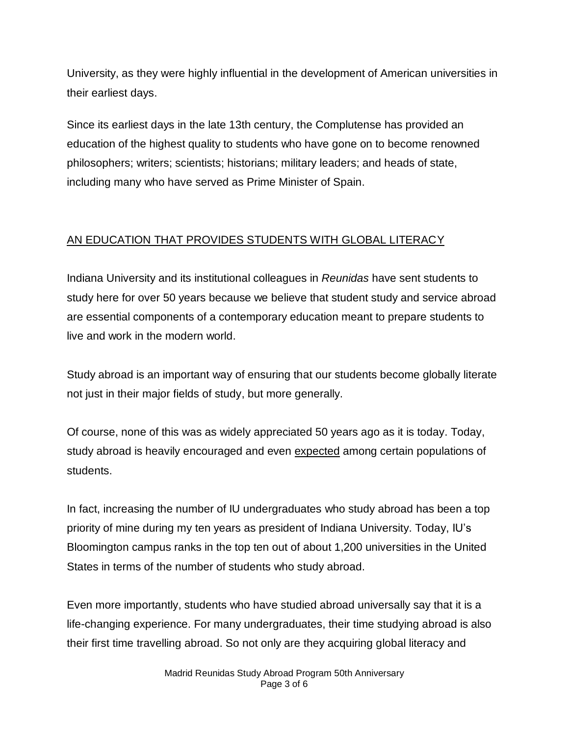University, as they were highly influential in the development of American universities in their earliest days.

Since its earliest days in the late 13th century, the Complutense has provided an education of the highest quality to students who have gone on to become renowned philosophers; writers; scientists; historians; military leaders; and heads of state, including many who have served as Prime Minister of Spain.

# AN EDUCATION THAT PROVIDES STUDENTS WITH GLOBAL LITERACY

Indiana University and its institutional colleagues in *Reunidas* have sent students to study here for over 50 years because we believe that student study and service abroad are essential components of a contemporary education meant to prepare students to live and work in the modern world.

Study abroad is an important way of ensuring that our students become globally literate not just in their major fields of study, but more generally.

Of course, none of this was as widely appreciated 50 years ago as it is today. Today, study abroad is heavily encouraged and even expected among certain populations of students.

In fact, increasing the number of IU undergraduates who study abroad has been a top priority of mine during my ten years as president of Indiana University. Today, IU's Bloomington campus ranks in the top ten out of about 1,200 universities in the United States in terms of the number of students who study abroad.

Even more importantly, students who have studied abroad universally say that it is a life-changing experience. For many undergraduates, their time studying abroad is also their first time travelling abroad. So not only are they acquiring global literacy and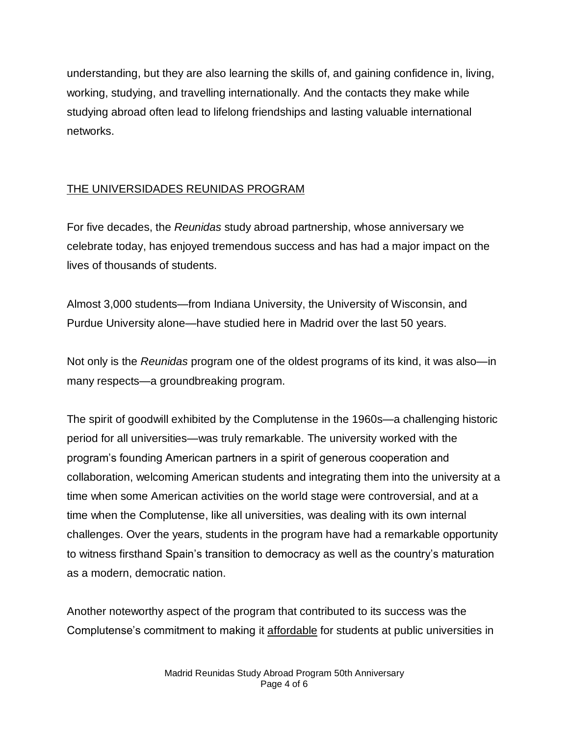understanding, but they are also learning the skills of, and gaining confidence in, living, working, studying, and travelling internationally. And the contacts they make while studying abroad often lead to lifelong friendships and lasting valuable international networks.

## THE UNIVERSIDADES REUNIDAS PROGRAM

For five decades, the *Reunidas* study abroad partnership, whose anniversary we celebrate today, has enjoyed tremendous success and has had a major impact on the lives of thousands of students.

Almost 3,000 students—from Indiana University, the University of Wisconsin, and Purdue University alone—have studied here in Madrid over the last 50 years.

Not only is the *Reunidas* program one of the oldest programs of its kind, it was also—in many respects—a groundbreaking program.

The spirit of goodwill exhibited by the Complutense in the 1960s—a challenging historic period for all universities—was truly remarkable. The university worked with the program's founding American partners in a spirit of generous cooperation and collaboration, welcoming American students and integrating them into the university at a time when some American activities on the world stage were controversial, and at a time when the Complutense, like all universities, was dealing with its own internal challenges. Over the years, students in the program have had a remarkable opportunity to witness firsthand Spain's transition to democracy as well as the country's maturation as a modern, democratic nation.

Another noteworthy aspect of the program that contributed to its success was the Complutense's commitment to making it affordable for students at public universities in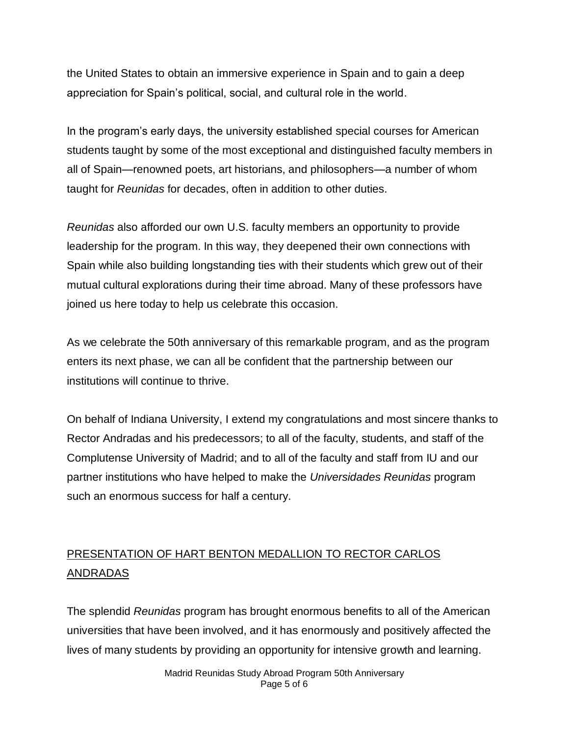the United States to obtain an immersive experience in Spain and to gain a deep appreciation for Spain's political, social, and cultural role in the world.

In the program's early days, the university established special courses for American students taught by some of the most exceptional and distinguished faculty members in all of Spain—renowned poets, art historians, and philosophers—a number of whom taught for *Reunidas* for decades, often in addition to other duties.

*Reunidas* also afforded our own U.S. faculty members an opportunity to provide leadership for the program. In this way, they deepened their own connections with Spain while also building longstanding ties with their students which grew out of their mutual cultural explorations during their time abroad. Many of these professors have joined us here today to help us celebrate this occasion.

As we celebrate the 50th anniversary of this remarkable program, and as the program enters its next phase, we can all be confident that the partnership between our institutions will continue to thrive.

On behalf of Indiana University, I extend my congratulations and most sincere thanks to Rector Andradas and his predecessors; to all of the faculty, students, and staff of the Complutense University of Madrid; and to all of the faculty and staff from IU and our partner institutions who have helped to make the *Universidades Reunidas* program such an enormous success for half a century.

# PRESENTATION OF HART BENTON MEDALLION TO RECTOR CARLOS ANDRADAS

The splendid *Reunidas* program has brought enormous benefits to all of the American universities that have been involved, and it has enormously and positively affected the lives of many students by providing an opportunity for intensive growth and learning.

> Madrid Reunidas Study Abroad Program 50th Anniversary Page 5 of 6